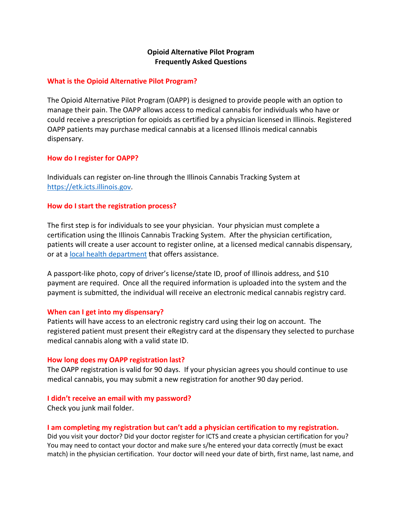# **Opioid Alternative Pilot Program Frequently Asked Questions**

### **What is the Opioid Alternative Pilot Program?**

The Opioid Alternative Pilot Program (OAPP) is designed to provide people with an option to manage their pain. The OAPP allows access to medical cannabis for individuals who have or could receive a prescription for opioids as certified by a physician licensed in Illinois. Registered OAPP patients may purchase medical cannabis at a licensed Illinois medical cannabis dispensary.

### **How do I register for OAPP?**

Individuals can register on-line through the Illinois Cannabis Tracking System at [https://etk.icts.illinois.gov.](https://etk.icts.illinois.gov/)

### **How do I start the registration process?**

The first step is for individuals to see your physician. Your physician must complete a certification using the Illinois Cannabis Tracking System. After the physician certification, patients will create a user account to register online, at a licensed medical cannabis dispensary, or at a [local health department](http://www.dph.illinois.gov/topics-services/prevention-wellness/medical-cannabis/application-help) that offers assistance.

A passport-like photo, copy of driver's license/state ID, proof of Illinois address, and \$10 payment are required. Once all the required information is uploaded into the system and the payment is submitted, the individual will receive an electronic medical cannabis registry card.

## **When can I get into my dispensary?**

Patients will have access to an electronic registry card using their log on account. The registered patient must present their eRegistry card at the dispensary they selected to purchase medical cannabis along with a valid state ID.

#### **How long does my OAPP registration last?**

The OAPP registration is valid for 90 days. If your physician agrees you should continue to use medical cannabis, you may submit a new registration for another 90 day period.

#### **I didn't receive an email with my password?**

Check you junk mail folder.

## **I am completing my registration but can't add a physician certification to my registration.**

Did you visit your doctor? Did your doctor register for ICTS and create a physician certification for you? You may need to contact your doctor and make sure s/he entered your data correctly (must be exact match) in the physician certification. Your doctor will need your date of birth, first name, last name, and